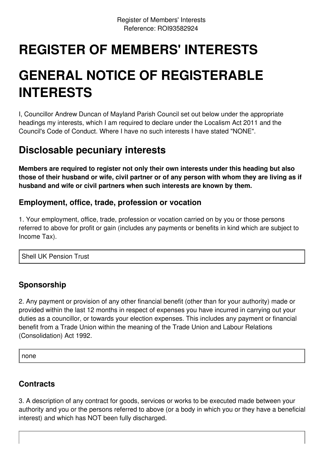# **REGISTER OF MEMBERS' INTERESTS**

# **GENERAL NOTICE OF REGISTERABLE INTERESTS**

I, Councillor Andrew Duncan of Mayland Parish Council set out below under the appropriate headings my interests, which I am required to declare under the Localism Act 2011 and the Council's Code of Conduct. Where I have no such interests I have stated "NONE".

## **Disclosable pecuniary interests**

**Members are required to register not only their own interests under this heading but also** those of their husband or wife, civil partner or of any person with whom they are living as if **husband and wife or civil partners when such interests are known by them.**

### **Employment, office, trade, profession or vocation**

1. Your employment, office, trade, profession or vocation carried on by you or those persons referred to above for profit or gain (includes any payments or benefits in kind which are subject to Income Tax).

Shell UK Pension Trust

### **Sponsorship**

2. Any payment or provision of any other financial benefit (other than for your authority) made or provided within the last 12 months in respect of expenses you have incurred in carrying out your duties as a councillor, or towards your election expenses. This includes any payment or financial benefit from a Trade Union within the meaning of the Trade Union and Labour Relations (Consolidation) Act 1992.

none

#### **Contracts**

3. A description of any contract for goods, services or works to be executed made between your authority and you or the persons referred to above (or a body in which you or they have a beneficial interest) and which has NOT been fully discharged.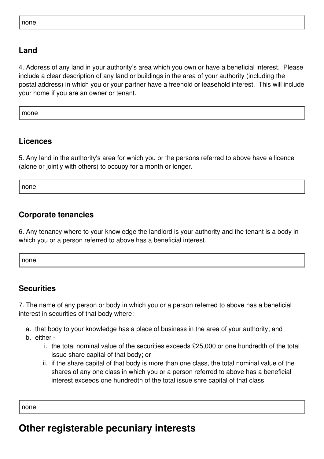#### **Land**

4. Address of any land in your authority's area which you own or have a beneficial interest. Please include a clear description of any land or buildings in the area of your authority (including the postal address) in which you or your partner have a freehold or leasehold interest. This will include your home if you are an owner or tenant.

mone

#### **Licences**

5. Any land in the authority's area for which you or the persons referred to above have a licence (alone or jointly with others) to occupy for a month or longer.

none

#### **Corporate tenancies**

6. Any tenancy where to your knowledge the landlord is your authority and the tenant is a body in which you or a person referred to above has a beneficial interest.

none

#### **Securities**

7. The name of any person or body in which you or a person referred to above has a beneficial interest in securities of that body where:

- a. that body to your knowledge has a place of business in the area of your authority; and
- b. either
	- i. the total nominal value of the securities exceeds £25,000 or one hundredth of the total issue share capital of that body; or
	- ii. if the share capital of that body is more than one class, the total nominal value of the shares of any one class in which you or a person referred to above has a beneficial interest exceeds one hundredth of the total issue shre capital of that class

none

## **Other registerable pecuniary interests**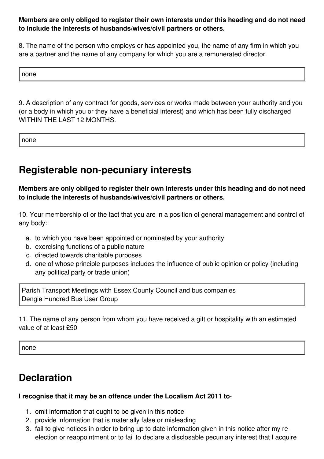**Members are only obliged to register their own interests under this heading and do not need to include the interests of husbands/wives/civil partners or others.**

8. The name of the person who employs or has appointed you, the name of any firm in which you are a partner and the name of any company for which you are a remunerated director.

none

9. A description of any contract for goods, services or works made between your authority and you (or a body in which you or they have a beneficial interest) and which has been fully discharged WITHIN THE LAST 12 MONTHS.

none

## **Registerable non-pecuniary interests**

**Members are only obliged to register their own interests under this heading and do not need to include the interests of husbands/wives/civil partners or others.**

10. Your membership of or the fact that you are in a position of general management and control of any body:

- a. to which you have been appointed or nominated by your authority
- b. exercising functions of a public nature
- c. directed towards charitable purposes
- d. one of whose principle purposes includes the influence of public opinion or policy (including any political party or trade union)

Parish Transport Meetings with Essex County Council and bus companies Dengie Hundred Bus User Group

11. The name of any person from whom you have received a gift or hospitality with an estimated value of at least £50

none

## **Declaration**

#### **I recognise that it may be an offence under the Localism Act 2011 to**:-

- 1. omit information that ought to be given in this notice
- 2. provide information that is materially false or misleading
- 3. fail to give notices in order to bring up to date information given in this notice after my reelection or reappointment or to fail to declare a disclosable pecuniary interest that I acquire